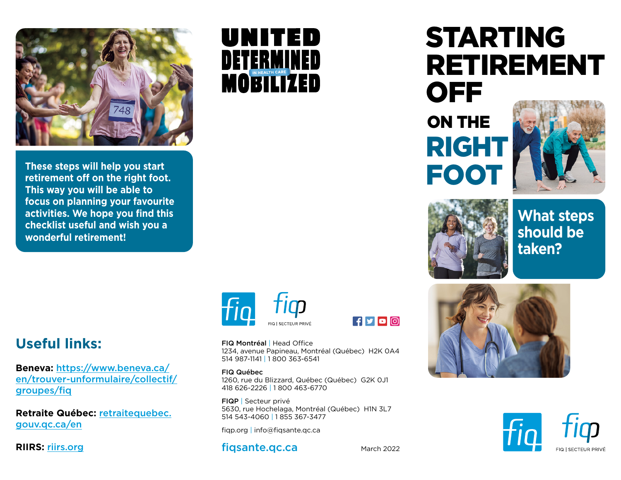

**These steps will help you start retirement off on the right foot. This way you will be able to focus on planning your favourite activities. We hope you find this checklist useful and wish you a wonderful retirement!**

## UNITED DETERMINED MOBILIZED

## STARTING RETIREMENT OFF ON THE

RIGHT

FOOT

**What steps** 



## **should be taken?**

## **Useful links:**

**Beneva:** https://www.beneva.ca/ [en/trouver-unformulaire/collectif/](https://www.beneva.ca/en/find-a-form/group-insurance/groups/fiq) groupes/fiq

**[Retraite Québec:](https://www.retraitequebec.gouv.qc.ca/en/Pages/accueil.aspx?=/fr/dates-de-paiement/Pages/dates-de-paiement.aspx)** retraitequebec. gouv.qc.ca/en

**RIIRS:** [riirs.org](https://riirs.org/accueil)



 $f y 0$ 

FIQ Montréal | Head Office 1234, avenue Papineau, Montréal (Québec) H2K 0A4 514 987-1141 | 1 800 363-6541

FIQ Québec 1260, rue du Blizzard, Québec (Québec) G2K 0J1 418 626-2226 | 1 800 463-6770

FIQP | Secteur privé 5630, rue Hochelaga, Montréal (Québec) H1N 3L7 514 543-4060 | 1 855 367-3477

fiqp.org | info@fiqsante.qc.ca

[fiqsante.qc.ca](https://www.fiqsante.qc.ca/)



March 2022